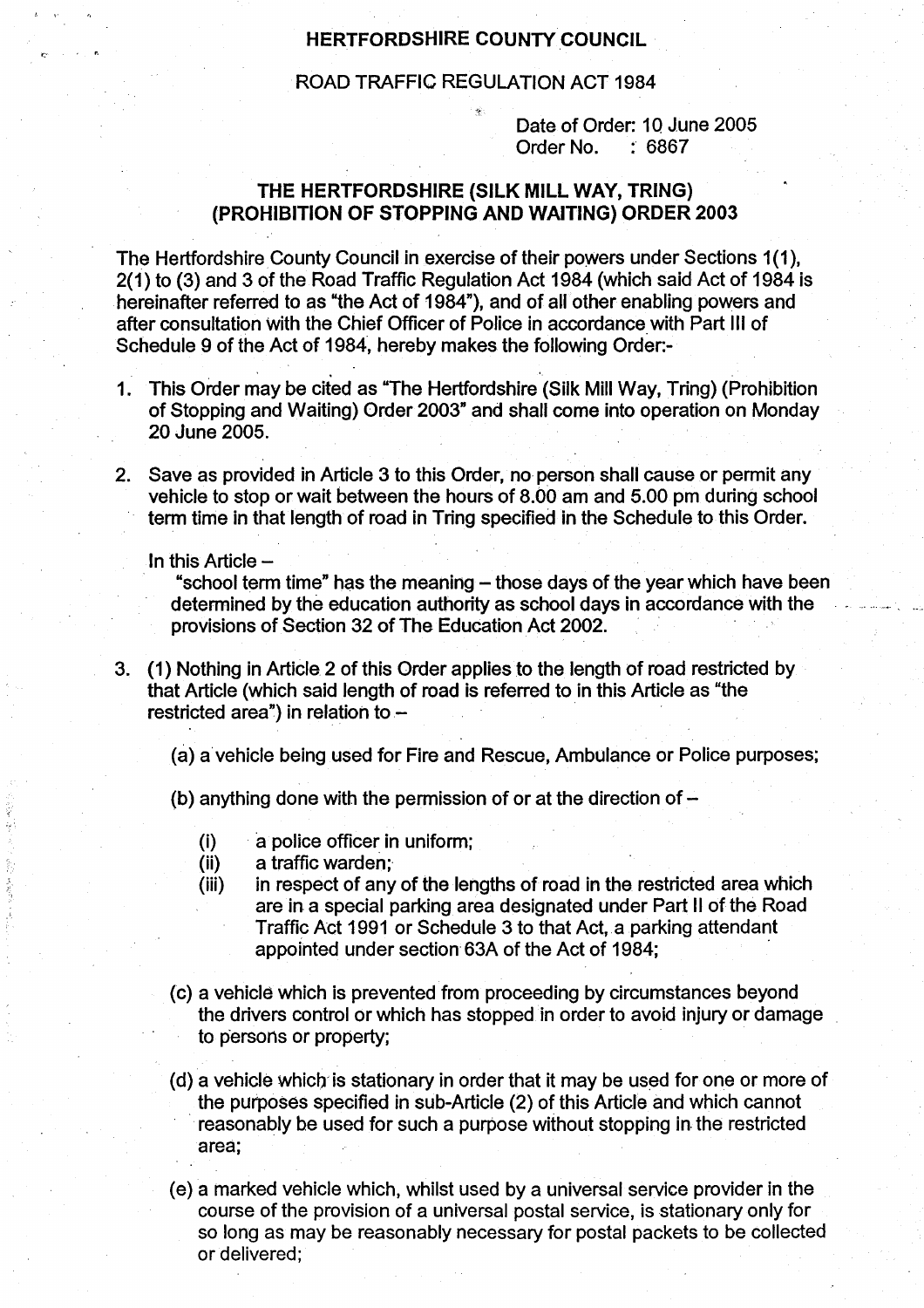## HERTFORDSHIRE COUNTY COUNCIL

## ROAD TRAFFIC REGULATION ACT 1984

Date of Order: 10 June 2005 Order No. 6867

## THE HERTFORDSHIRE (SILK MILL WAY, TRING) (PROHIBITION OF STOPPING AND WAITING) ORDER 2003

The Hertfordshire County Council in exercise of their powers under Sections 1(1), 2(1) to (3) and 3 of the Road Traffic Regulation Act 1984 (which said Act of 1984 is hereinafter referred to as "the Act of 1984"), and of all other enabling powers and after consultation with the Chief Officer of Police in accordance with Part III of Schedule 9 of the Act of 1984, hereby makes the following Order.-

- <sup>1</sup> . This Order may be cited as "The Hertfordshire (Silk Mill Way, Tring) (Prohibition of Stopping and Waiting) Order 2003" and shall come into operation on Monday 20 June 2005.
- 2 . Save as provided in Article 3 to this Order, no person shall cause or permit any vehicle to stop or wait between the hours of 8 .00 am and 5.00 pm during school term time in that length of road in Tring specified in the Schedule to this Order.

In this Article  $-$ 

医加拿大感染

"school term time" has the meaning – those days of the year which have been determined by the education authority as school days in accordance with the provisions of Section 32 of The Education Act 2002 .

- 3. (1) Nothing in Article. 2 of this Order applies to the length of road restricted by that Article (which said length of road is referred to in this Article as "the restricted area") in relation to  $-$ 
	- (a) a'vehicle being used for Fire and Rescue, Ambulance or Police purposes ;
	- (b) anything done with the permission of or at the direction of  $-$ 
		- (i) a police officer in uniform;
		- (ii) a traffic warden;
		- (iii) in respect of any of the lengths of road in the restricted area which are in a special parking area designated under Part II of the Road Traffic Act 1991 or Schedule 3 to that Act, a parking attendant appointed under section 63A of the Act of 1984;
	- (c) a vehicle which is prevented from proceeding by circumstances beyond the drivers control or which has stopped in order to avoid injury or damage to persons or property;
	- (d) a vehicle which is stationary in order that it may be used for one or more of the purposes specified in sub-Article (2) of this Article and which cannot reasonably be used for such a purpose without stopping in the restricted area;
	- (e) a marked vehicle which, whilst used by a universal service provider in the course of the provision of a universal postal service, is stationary only for so long as may be reasonably necessary for postal packets to be collected or delivered;